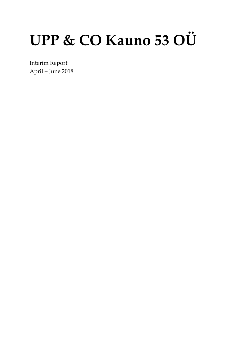# UPP & CO Kauno 53 OÜ

Interim Report April – June 2018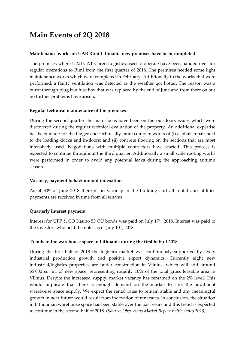## **Main Events of 2Q 2018**

#### **Maintenance works on UAB Rimi Lithuania new premises have been completed**

The premises where UAB CAT Cargo Logistics used to operate have been handed over for regular operations to Rimi from the first quarter of 2018. The premises needed some light maintenance works which were completed in February. Additionally to the works that were performed, a faulty ventilation was detected as the weather got hotter. The reason was a burnt through plug in a fuse box that was replaced by the end of June and from there on out no further problems have arisen.

#### **Regular technical maintenance of the premises**

During the second quarter the main focus have been on the out-doors issues which were discovered during the regular technical evaluation of the property. An additional expertise has been made for the bigger and technically more complex works of (i) asphalt repair next to the loading docks and in-doors; and (ii) concrete flooring on the sections that are most intensively used. Negotiations with multiple contractors have started. This process is expected to continue throughout the third quarter. Additionally a small scale roofing works were performed in order to avoid any potential leaks during the approaching autumn season.

#### **Vacancy, payment behaviour and indexation**

As of 30<sup>th</sup> of June 2018 there is no vacancy in the building and all rental and utilities payments are received in time from all tenants.

#### **Quarterly interest payment**

Interest for UPP & CO Kauno 53 OÜ bonds was paid on July 17<sup>th</sup>, 2018. Interest was paid to the investors who held the notes as of July  $10<sup>th</sup>$ , 2018.

#### **Trends in the warehouse space in Lithuania during the first half of 2018**

During the first half of 2018 the logistics market was continuously supported by lively industrial production growth and positive export dynamics. Currently eight new industrial/logistics properties are under construction in Vilnius, which will add around 65 000 sq. m. of new space, representing roughly 10% of the total gross leasable area in Vilnius. Despite the increased supply, market vacancy has remained on the 2% level. This would implicate that there is enough demand on the market to sink the additional warehouse space supply. We expect the rental rates to remain stable and any meaningful growth in near future would result from indexation of rent rates. In conclusion, the situation in Lithuanian warehouse space has been stable over the past years and this trend is expected to continue in the second half of 2018. *(Source: Ober-Haus Market Report Baltic states 2018)*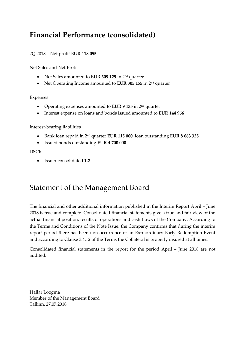## **Financial Performance (consolidated)**

#### 2Q 2018 – Net profit **EUR 118 055**

Net Sales and Net Profit

- Net Sales amounted to **EUR 309 129** in 2<sup>nd</sup> quarter
- Net Operating Income amounted to **EUR 305 155** in 2<sup>nd</sup> quarter

#### Expenses

- Operating expenses amounted to **EUR 9 135** in 2 nd quarter
- Interest expense on loans and bonds issued amounted to **EUR 144 966**

#### Interest-bearing liabilities

- **•** Bank loan repaid in 2<sup>nd</sup> quarter **EUR 115 000**, loan outstanding **EUR 8 663 335**
- Issued bonds outstanding **EUR 4 700 000**

#### **DSCR**

• Issuer consolidated **1.2**

### Statement of the Management Board

The financial and other additional information published in the Interim Report April – June 2018 is true and complete. Consolidated financial statements give a true and fair view of the actual financial position, results of operations and cash flows of the Company. According to the Terms and Conditions of the Note Issue, the Company confirms that during the interim report period there has been non-occurrence of an Extraordinary Early Redemption Event and according to Clause 3.4.12 of the Terms the Collateral is properly insured at all times.

Consolidated financial statements in the report for the period April – June 2018 are not audited.

Hallar Loogma Member of the Management Board Tallinn, 27.07.2018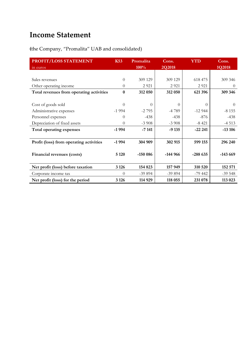## **Income Statement**

**(**the Company, "Promalita" UAB and consolidated)

| PROFIT/LOSS STATEMENT                    | <b>K53</b> | Promalita | Cons.     | <b>YTD</b>       | Cons.     |
|------------------------------------------|------------|-----------|-----------|------------------|-----------|
| in euros                                 |            | 100%      | 2Q2018    |                  | 1Q2018    |
|                                          |            |           |           |                  |           |
| Sales revenues                           | $\Omega$   | 309 129   | 309 129   | 618 475          | 309 346   |
| Other operating income                   | $\Omega$   | 2 9 21    | 2 9 2 1   | 2 9 21           | $\Omega$  |
| Total revenues from operating activities | $\bf{0}$   | 312 050   | 312 050   | 621 396          | 309 346   |
|                                          |            |           |           |                  |           |
| Cost of goods sold                       | $\Omega$   | $\Omega$  | $\Omega$  | $\left( \right)$ | $\Omega$  |
| Administrative expenses                  | $-1994$    | $-2795$   | $-4789$   | $-12944$         | $-8155$   |
| Personnel expenses                       | $\Omega$   | $-438$    | $-438$    | $-876$           | $-438$    |
| Depreciation of fixed assets             | 0          | $-3908$   | $-3908$   | $-8421$          | $-4513$   |
| Total operating expenses                 | $-1994$    | $-7141$   | $-9135$   | $-22221$         | $-13106$  |
|                                          |            |           |           |                  |           |
| Profit (loss) from operating activities  | $-1994$    | 304 909   | 302 915   | 599 155          | 296 240   |
|                                          |            |           |           |                  |           |
| Financial revenues (costs)               | 5 1 20     | -150 086  | $-144966$ | $-288635$        | $-143669$ |
|                                          |            |           |           |                  |           |
| Net profit (loss) before taxation        | 3 1 2 6    | 154 823   | 157 949   | 310 520          | 152 571   |
| Corporate income tax                     | $\Omega$   | $-39894$  | $-39894$  | $-79442$         | $-39548$  |
| Net profit (loss) for the period         | 3 1 2 6    | 114 929   | 118 055   | 231 078          | 113 023   |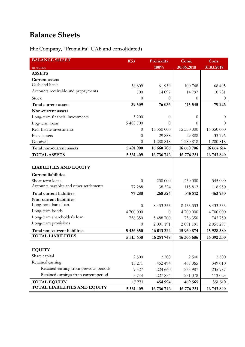## **Balance Sheets**

**(**the Company, "Promalita" UAB and consolidated)

| <b>BALANCE SHEET</b>                    | <b>K53</b>       | Promalita  | Cons.      | Cons.      |
|-----------------------------------------|------------------|------------|------------|------------|
| in euros                                |                  | 100%       | 30.06.2018 | 31.03.2018 |
| <b>ASSETS</b>                           |                  |            |            |            |
| <b>Current assets</b>                   |                  |            |            |            |
| Cash and bank                           | 38 809           | 61 939     | 100 748    | 68 495     |
| Accounts receivable and prepayments     | 700              | 14 097     | 14 7 9 7   | 10731      |
| Stock                                   | $\theta$         | $\theta$   | $\theta$   | $\theta$   |
| Total current assets                    | 39 509           | 76 036     | 115 545    | 79 226     |
| Non-current assets                      |                  |            |            |            |
| Long-term financial investments         | 3 200            | $\theta$   | $\theta$   | $\theta$   |
| Log-term loans                          | 5 488 700        | 0          | 0          | $\theta$   |
| Real Estate investments                 | $\theta$         | 15 350 000 | 15 350 000 | 15 350 000 |
| Fixed assets                            | $\theta$         | 29 888     | 29 888     | 33796      |
| Goodwill                                | $\theta$         | 1 280 818  | 1 280 818  | 1 280 818  |
| Total non-current assets                | 5 491 900        | 16 660 706 | 16 660 706 | 16 664 614 |
| <b>TOTAL ASSETS</b>                     | 5 531 409        | 16 736 742 | 16 776 251 | 16 743 840 |
|                                         |                  |            |            |            |
| <b>LIABILITIES AND EQUITY</b>           |                  |            |            |            |
| <b>Current liabilities</b>              |                  |            |            |            |
| Short-term loans                        | $\theta$         | 230 000    | 230 000    | 345 000    |
| Accounts payables and other settlements | 77 288           | 38 5 24    | 115 812    | 118 950    |
| <b>Total current liabilties</b>         | 77 288           | 268 524    | 345 812    | 463 950    |
| Non-current liabilities                 |                  |            |            |            |
| Long-term bank loan                     | 0                | 8 433 333  | 8 433 333  | 8 433 333  |
| Long-term bonds                         | 4 700 000        | 0          | 4 700 000  | 4 700 000  |
| Long-term shareholder's loan            | 736 350          | 5 488 700  | 736 350    | 743 750    |
| Long-term provisions                    | $\boldsymbol{0}$ | 2 091 191  | 2 091 191  | 2 051 297  |
| Total non-current liabilities           | 5 436 350        | 16 013 224 | 15 960 874 | 15 928 380 |
| <b>TOTAL LIABILITIES</b>                | 5 513 638        | 16 281 748 | 16 306 686 | 16 392 330 |
|                                         |                  |            |            |            |
| <b>EQUITY</b>                           |                  |            |            |            |
| Share capital                           | 2 500            | 2 500      | 2 500      | 2 500      |
| Retained earning                        | 15 271           | 452 494    | 467 065    | 349 010    |
| Retained earning from previous periods  | 9 5 27           | 224 660    | 235 987    | 235 987    |
| Retained earnings from current period   | 5 7 4 4          | 227 834    | 231 078    | 113 023    |
| <b>TOTAL EQUITY</b>                     | 17 771           | 454 994    | 469 565    | 351 510    |
| <b>TOTAL LIABILITIES AND EQUITY</b>     | 5 531 409        | 16 736 742 | 16 776 251 | 16 743 840 |